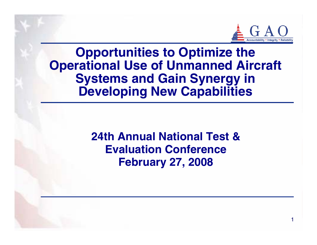

1

# **Opportunities to Optimize the Operational Use of Unmanned Aircraft Systems and Gain Synergy in Developing New Capabilities**

**24th Annual National Test & Evaluation Conference February 27, 2008**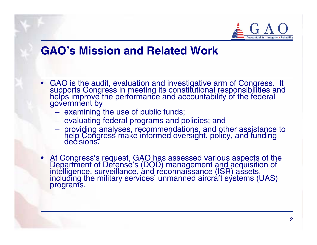

#### **GAO's Mission and Related Work**

- GAO is the audit, evaluation and investigative arm of Congress. It supports Congress in meeting its constitutional responsibilities and helps improve the performance and accountability of the federal government by
	- $-$  examining the use of public funds;
	- evaluating federal programs and policies; and
	- providing analyses, recommendations, and other assistance to help Congress make informed oversight, policy, and funding decisions.
- At Congress's request, GAO has assessed various aspects of the Department of Defense's (DOD) management and acquisition of intelligence, surveillance, and reconnaissance (ISR) assets, including the military services' unm programs.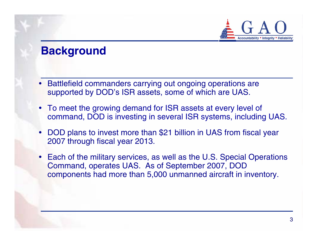

## **Background**

- $\bullet$  Battlefield commanders carrying out ongoing operations are supported by DOD's ISR assets, some of which are UAS.
- To meet the growing demand for ISR assets at every level of command, DOD is investing in several ISR systems, including UAS.
- $\bullet$  DOD plans to invest more than \$21 billion in UAS from fiscal year 2007 through fiscal year 2013.
- Each of the military services, as well as the U.S. Special Operations Command, operates UAS. As of September 2007, DOD components had more than 5,000 unmanned aircraft in inventory.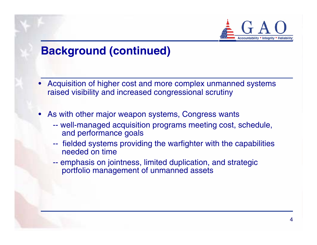

## **Background (continued)**

- • Acquisition of higher cost and more complex unmanned systems raised visibility and increased congressional scrutiny
- • As with other major weapon systems, Congress wants
	- -- well-managed acquisition programs meeting cost, schedule, and performance goals
	- - fielded systems providing the warfighter with the capabilities needed on time
	- -- emphasis on jointness, limited duplication, and strategic portfolio management of unmanned assets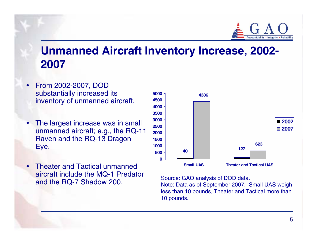

## **Unmanned Aircraft Inventory Increase, 2002- 2007**

- $\bullet$  From 2002-2007, DOD substantially increased its inventory of unmanned aircraft.
- • The largest increase was in small unmanned aircraft; e.g., the RQ-11 Raven and the RQ-13 Dragon Eye.
- • Theater and Tactical unmanned aircraft include the MQ-1 Predator and the RQ-7 Shadow 200.



Source: GAO analysis of DOD data.

Note: Data as of September 2007. Small UAS weigh less than 10 pounds, Theater and Tactical more than 10 pounds.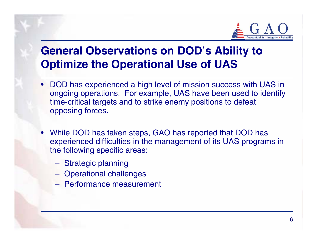

# **General Observations on DOD's Ability to Optimize the Operational Use of UAS**

- DOD has experienced a high level of mission success with UAS in ongoing operations. For example, UAS have been used to identify time-critical targets and to strike enemy positions to defeat opposing forces.
- While DOD has taken steps, GAO has reported that DOD has experienced difficulties in the management of its UAS programs in the following specific areas:
	- Strategic planning
	- Operational challenges
	- − Performance measurement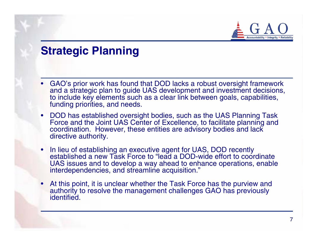

## **Strategic Planning**

- • GAO's prior work has found that DOD lacks a robust oversight framework and a strategic plan to guide UAS development and investment decisions, to include key elements such as a clear link between goals, capabilities, funding priorities, and needs.
- DOD has established oversight bodies, such as the UAS Planning Task Force and the Joint UAS Center of Excellence, to facilitate planning and coordination. However, these entities are advisory bodies and lack directive authority.
- • In lieu of establishing an executive agent for UAS, DOD recently established a new Task Force to "lead a DOD-wide effort to coordinate UAS issues and to develop a way ahead to enhance operations, enable interdependencies, and streamline acquisition."
- • At this point, it is unclear whether the Task Force has the purview and authority to resolve the management challenges GAO has previously identified.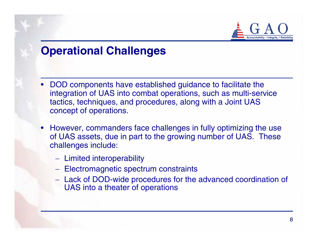

### **Operational Challenges**

- DOD components have established guidance to facilitate the integration of UAS into combat operations, such as multi-service tactics, techniques, and procedures, along with a Joint UAS concept of operations.
- However, commanders face challenges in fully optimizing the use of UAS assets, due in part to the growing number of UAS. These challenges include:
	- Limited interoperability
	- Electromagnetic spectrum constraints
	- Lack of DOD-wide procedures for the advanced coordination of UAS into a theater of operations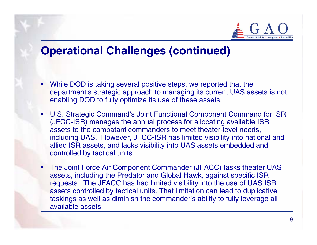

## **Operational Challenges (continued)**

- • While DOD is taking several positive steps, we reported that the department's strategic approach to managing its current UAS assets is not enabling DOD to fully optimize its use of these assets.
- U.S. Strategic Command's Joint Functional Component Command for ISR (JFCC-ISR) manages the annual process for allocating available ISR assets to the combatant commanders to meet theater-level needs, including UAS. However, JFCC-ISR has limited visibility into national and allied ISR assets, and lacks visibility into UAS assets embedded and controlled by tactical units.
- • The Joint Force Air Component Commander (JFACC) tasks theater UAS assets, including the Predator and Global Hawk, against specific ISR requests. The JFACC has had limited visibility into the use of UAS ISR assets controlled by tactical units. That limitation can lead to duplicative taskings as well as diminish the commander's ability to fully leverage all available assets.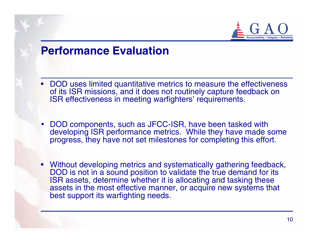

#### **Performance Evaluation**

- DOD uses limited quantitative metrics to measure the effectiveness of its ISR missions, and it does not routinely capture feedback on ISR effectiveness in meeting warfighters' requirements.
- DOD components, such as JFCC-ISR, have been tasked with developing ISR performance metrics. While they have made some progress, they have not set milestones for completing this effort.
- Without developing metrics and systematically gathering feedback, DOD is not in a sound position to validate the true demand for its ISR assets, determine whether it is allocating and tasking these assets in the most effective manner, or acquire new systems that best support its warfighting needs.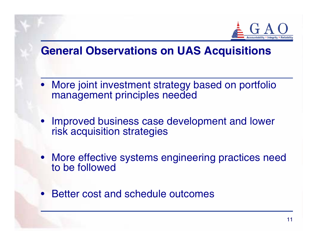

## **General Observations on UAS Acquisitions**

- More joint investment strategy based on portfolio management principles needed
- Improved business case development and lower risk acquisition strategies
- More effective systems engineering practices need to be followed
- •Better cost and schedule outcomes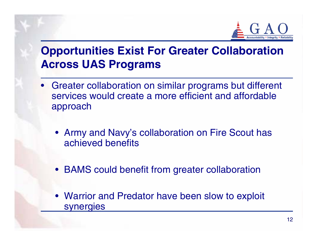

# **Opportunities Exist For Greater Collaboration Across UAS Programs**

- Greater collaboration on similar programs but different services would create a more efficient and affordable approach
	- Army and Navy's collaboration on Fire Scout has achieved benefits
	- BAMS could benefit from greater collaboration
	- Warrior and Predator have been slow to exploit synergies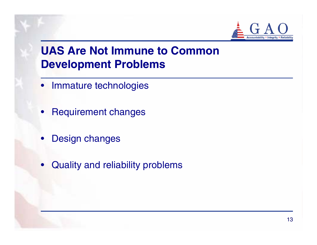

# **UAS Are Not Immune to Common Development Problems**

- Immature technologies
- •Requirement changes
- •Design changes
- •Quality and reliability problems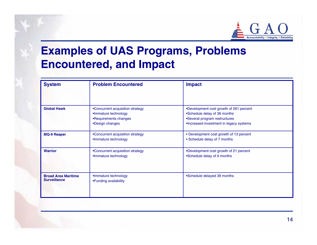

# **Examples of UAS Programs, Problems Encountered, and Impact**

| <b>System</b>                                     | <b>Problem Encountered</b>                                                                           | <b>Impact</b>                                                                                                                                       |
|---------------------------------------------------|------------------------------------------------------------------------------------------------------|-----------------------------------------------------------------------------------------------------------------------------------------------------|
| <b>Global Hawk</b>                                | •Concurrent acquisition strategy<br>•Immature technology<br>•Requirements changes<br>•Design changes | •Development cost growth of 261 percent<br>•Schedule delay of 36 months<br>•Several program restructures<br>•Increased investment in legacy systems |
| <b>MQ-9 Reaper</b>                                | •Concurrent acquisition strategy<br>•Immature technology                                             | • Development cost growth of 13 percent<br>• Schedule delay of 7 months                                                                             |
| <b>Warrior</b>                                    | •Concurrent acquisition strategy<br>•Immature technology                                             | •Development cost growth of 21 percent<br>•Schedule delay of 9 months                                                                               |
| <b>Broad Area Maritime</b><br><b>Surveillance</b> | •Immature technology<br>•Funding availability                                                        | •Schedule delayed 39 months                                                                                                                         |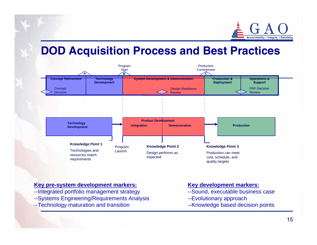

## **DOD Acquisition Process and Best Practices**



#### **Key pre-system d evelopment markers:**

- --Integrated portfolio management strategy
- --Systems Engineering/Requirements Analysis
- --Technology maturation and transition

#### **Key development markers:**

- --Sound, executable business case
- --Evolutionary approach
- --Knowledge based decision points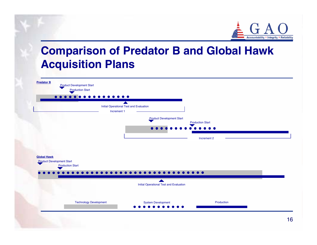

## **Comparison of Predator B and Global Hawk Acquisition Plans**

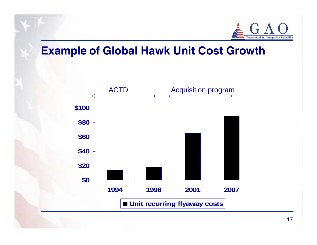

#### **Example of Global Hawk Unit Cost Growth**

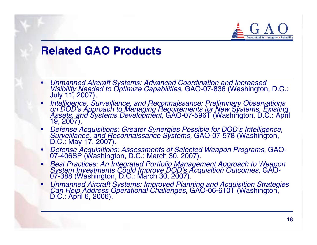

#### **Related GAO Products**

- •*Unmanned Aircraft Systems: Advanced Coordination and Increased<br>Visibility Needed to Optimize Capabilities, GAO-07-836 (Washington, D.C.:<br>July 11, 2007).*
- Intelligence, Surveillance, and Reconnaissance: Preliminary Observations<br>on DOD's Approach to Managing Requirements for New Systems, Existing<br>Assets, and Systems Development, GAO-07-596T (Washington, D.C.: April<br>19, 2007
- *Defense Acquisitions: Greater Synergies Possible for DOD's Intelligence, Surveillance, and Reconnaissance Systems,* GAO-07-578 (Washington, D.C.: May 17, 2007).
- •*Defense Acquisitions: Assessments of Selected Weapon Programs*, GAO- 07-406SP (Washington, D.C.: March 30, 2007).
- *Best Practices: An Integrated Portfolio Management Approach to Weapon System Investments Could Improve DOD's Acquisition Outcomes*, GAO- 07-388 (Washington, D.C.: March 30, 2007).
- *Unmanned Aircraft Systems: Improved Planning and Acquisition Strategies Can Help Address Operational Challenges,* GAO-06-610T (Washington, D.C.: April 6, 2006).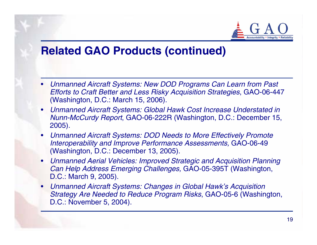

## **Related GAO Products (continued)**

- *Unmanned Aircraft Systems: New DOD Programs Can Learn from Past Efforts to Craft Better and Less Risky Acquisition Strategies*, GAO-06-447 (Washington, D.C.: March 15, 2006).
- *Unmanned Aircraft Systems: Global Hawk Cost Increase Understated in Nunn-McCurdy Report*, GAO-06-222R (Washington, D.C.: December 15, 2005).
- $\bullet$  *Unmanned Aircraft Systems: DOD Needs to More Effectively Promote Interoperability and Improve Performance Assessments,* GAO-06-49 (Washington, D.C.: December 13, 2005).
- • *Unmanned Aerial Vehicles: Improved Strategic and Acquisition Planning Can Help Address Emerging Challenges,* GAO-05-395T (Washington, D.C.: March 9, 2005).
- *Unmanned Aircraft Systems: Changes in Global Hawk's Acquisition Strategy Are Needed to Reduce Program Risks*, GAO-05-6 (Washington, D.C.: November 5, 2004).